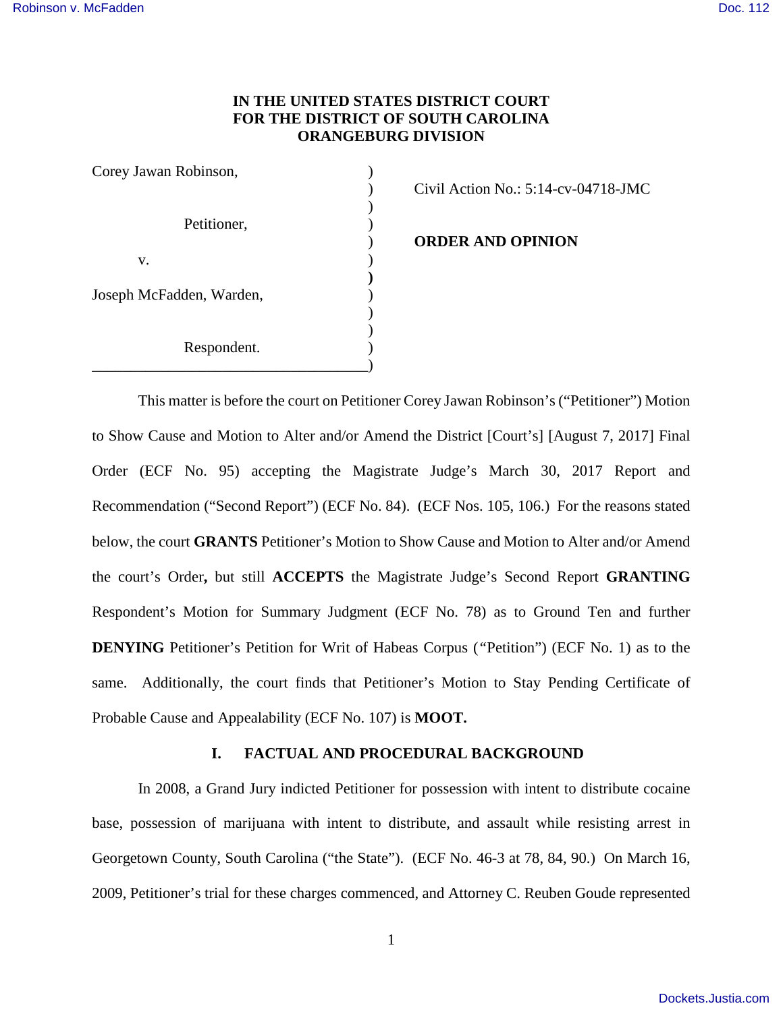# **IN THE UNITED STATES DISTRICT COURT FOR THE DISTRICT OF SOUTH CAROLINA ORANGEBURG DIVISION**

| Corey Jawan Robinson,    |  |
|--------------------------|--|
|                          |  |
|                          |  |
| Petitioner,              |  |
|                          |  |
| V.                       |  |
|                          |  |
| Joseph McFadden, Warden, |  |
|                          |  |
|                          |  |
| Respondent.              |  |
|                          |  |

) Civil Action No.: 5:14-cv-04718-JMC

) **ORDER AND OPINION**

This matter is before the court on Petitioner Corey Jawan Robinson's ("Petitioner") Motion to Show Cause and Motion to Alter and/or Amend the District [Court's] [August 7, 2017] Final Order (ECF No. 95) accepting the Magistrate Judge's March 30, 2017 Report and Recommendation ("Second Report") (ECF No. 84). (ECF Nos. 105, 106.) For the reasons stated below, the court **GRANTS** Petitioner's Motion to Show Cause and Motion to Alter and/or Amend the court's Order**,** but still **ACCEPTS** the Magistrate Judge's Second Report **GRANTING** Respondent's Motion for Summary Judgment (ECF No. 78) as to Ground Ten and further **DENYING** Petitioner's Petition for Writ of Habeas Corpus (*"*Petition") (ECF No. 1) as to the same. Additionally, the court finds that Petitioner's Motion to Stay Pending Certificate of Probable Cause and Appealability (ECF No. 107) is **MOOT.**

# **I. FACTUAL AND PROCEDURAL BACKGROUND**

In 2008, a Grand Jury indicted Petitioner for possession with intent to distribute cocaine base, possession of marijuana with intent to distribute, and assault while resisting arrest in Georgetown County, South Carolina ("the State"). (ECF No. 46-3 at 78, 84, 90.) On March 16, 2009, Petitioner's trial for these charges commenced, and Attorney C. Reuben Goude represented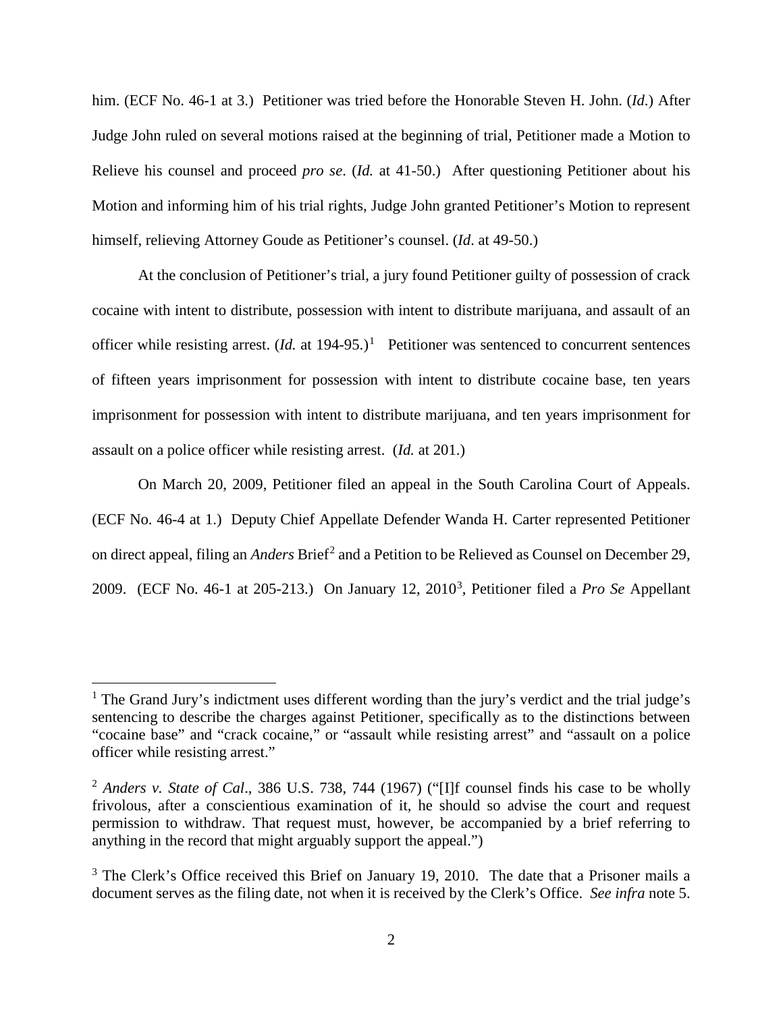him. (ECF No. 46-1 at 3.) Petitioner was tried before the Honorable Steven H. John. (*Id*.) After Judge John ruled on several motions raised at the beginning of trial, Petitioner made a Motion to Relieve his counsel and proceed *pro se*. (*Id.* at 41-50.) After questioning Petitioner about his Motion and informing him of his trial rights, Judge John granted Petitioner's Motion to represent himself, relieving Attorney Goude as Petitioner's counsel. (*Id*. at 49-50.)

At the conclusion of Petitioner's trial, a jury found Petitioner guilty of possession of crack cocaine with intent to distribute, possession with intent to distribute marijuana, and assault of an officer while resisting arrest.  $(Id.$  at [1](#page-1-0)94-95.)<sup>1</sup> Petitioner was sentenced to concurrent sentences of fifteen years imprisonment for possession with intent to distribute cocaine base, ten years imprisonment for possession with intent to distribute marijuana, and ten years imprisonment for assault on a police officer while resisting arrest. (*Id.* at 201.)

On March 20, 2009, Petitioner filed an appeal in the South Carolina Court of Appeals. (ECF No. 46-4 at 1.) Deputy Chief Appellate Defender Wanda H. Carter represented Petitioner on direct appeal, filing an *Anders* Brief<sup>[2](#page-1-1)</sup> and a Petition to be Relieved as Counsel on December 29, 2009. (ECF No. 46-1 at 205-213.) On January 12, 2010[3](#page-1-2) , Petitioner filed a *Pro Se* Appellant

<u>.</u>

<span id="page-1-0"></span><sup>&</sup>lt;sup>1</sup> The Grand Jury's indictment uses different wording than the jury's verdict and the trial judge's sentencing to describe the charges against Petitioner, specifically as to the distinctions between "cocaine base" and "crack cocaine," or "assault while resisting arrest" and "assault on a police officer while resisting arrest."

<span id="page-1-1"></span><sup>2</sup> *Anders v. State of Cal*., 386 U.S. 738, 744 (1967) ("[I]f counsel finds his case to be wholly frivolous, after a conscientious examination of it, he should so advise the court and request permission to withdraw. That request must, however, be accompanied by a brief referring to anything in the record that might arguably support the appeal.")

<span id="page-1-2"></span><sup>&</sup>lt;sup>3</sup> The Clerk's Office received this Brief on January 19, 2010. The date that a Prisoner mails a document serves as the filing date, not when it is received by the Clerk's Office. *See infra* note 5.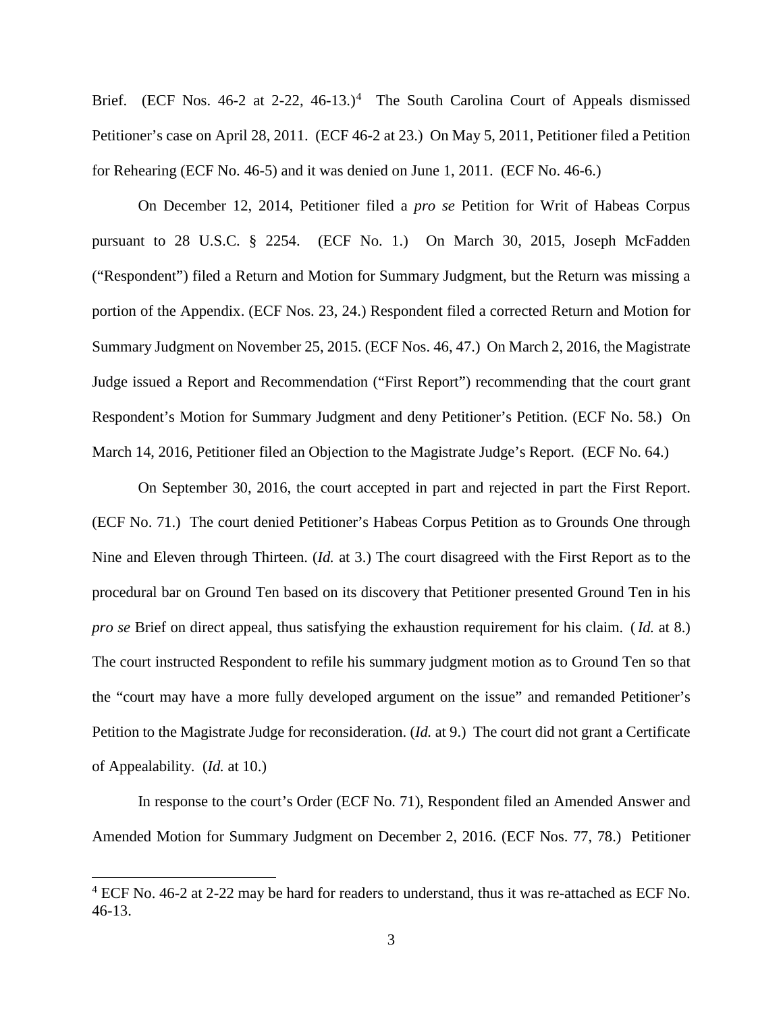Brief. (ECF Nos. [4](#page-2-0)6-2 at 2-22, 46-13.)<sup>4</sup> The South Carolina Court of Appeals dismissed Petitioner's case on April 28, 2011. (ECF 46-2 at 23.) On May 5, 2011, Petitioner filed a Petition for Rehearing (ECF No. 46-5) and it was denied on June 1, 2011. (ECF No. 46-6.)

On December 12, 2014, Petitioner filed a *pro se* Petition for Writ of Habeas Corpus pursuant to 28 U.S.C. § 2254. (ECF No. 1.) On March 30, 2015, Joseph McFadden ("Respondent") filed a Return and Motion for Summary Judgment, but the Return was missing a portion of the Appendix. (ECF Nos. 23, 24.) Respondent filed a corrected Return and Motion for Summary Judgment on November 25, 2015. (ECF Nos. 46, 47.) On March 2, 2016, the Magistrate Judge issued a Report and Recommendation ("First Report") recommending that the court grant Respondent's Motion for Summary Judgment and deny Petitioner's Petition. (ECF No. 58.) On March 14, 2016, Petitioner filed an Objection to the Magistrate Judge's Report. (ECF No. 64.)

On September 30, 2016, the court accepted in part and rejected in part the First Report. (ECF No. 71.) The court denied Petitioner's Habeas Corpus Petition as to Grounds One through Nine and Eleven through Thirteen. (*Id.* at 3.) The court disagreed with the First Report as to the procedural bar on Ground Ten based on its discovery that Petitioner presented Ground Ten in his *pro se* Brief on direct appeal, thus satisfying the exhaustion requirement for his claim. (*Id.* at 8.) The court instructed Respondent to refile his summary judgment motion as to Ground Ten so that the "court may have a more fully developed argument on the issue" and remanded Petitioner's Petition to the Magistrate Judge for reconsideration. (*Id.* at 9.) The court did not grant a Certificate of Appealability. (*Id.* at 10.)

In response to the court's Order (ECF No. 71), Respondent filed an Amended Answer and Amended Motion for Summary Judgment on December 2, 2016. (ECF Nos. 77, 78.) Petitioner

 $\overline{a}$ 

<span id="page-2-0"></span> $4$  ECF No. 46-2 at 2-22 may be hard for readers to understand, thus it was re-attached as ECF No. 46-13.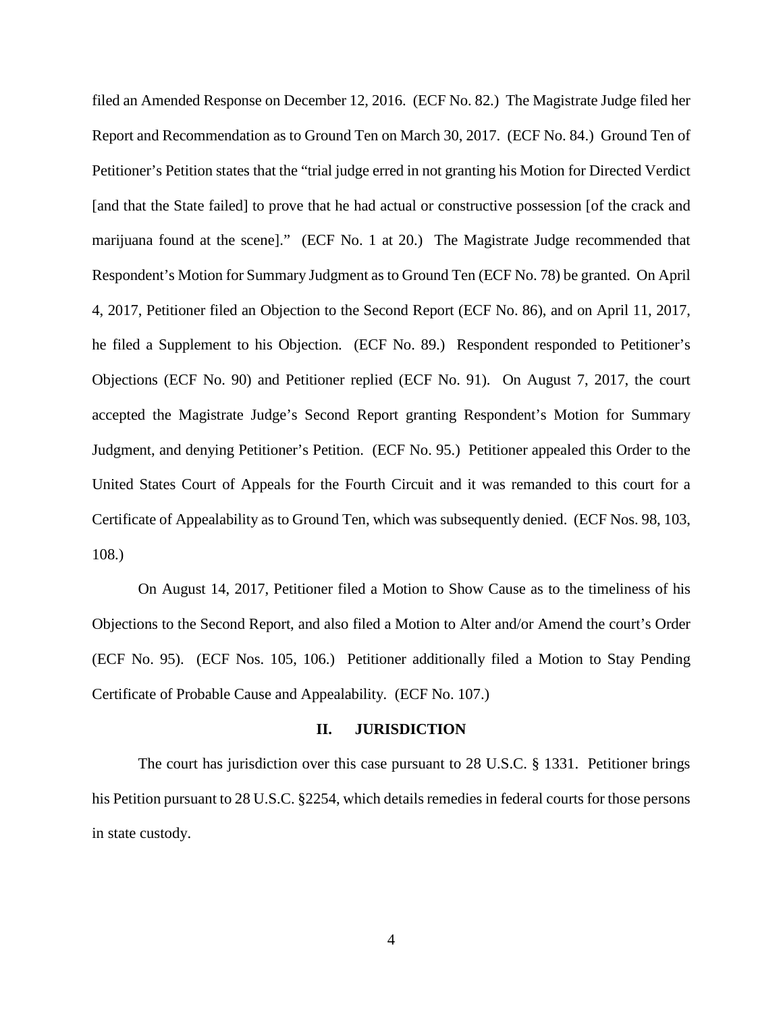filed an Amended Response on December 12, 2016. (ECF No. 82.) The Magistrate Judge filed her Report and Recommendation as to Ground Ten on March 30, 2017. (ECF No. 84.) Ground Ten of Petitioner's Petition states that the "trial judge erred in not granting his Motion for Directed Verdict [and that the State failed] to prove that he had actual or constructive possession [of the crack and marijuana found at the scene]." (ECF No. 1 at 20.) The Magistrate Judge recommended that Respondent's Motion for Summary Judgment as to Ground Ten (ECF No. 78) be granted. On April 4, 2017, Petitioner filed an Objection to the Second Report (ECF No. 86), and on April 11, 2017, he filed a Supplement to his Objection. (ECF No. 89.) Respondent responded to Petitioner's Objections (ECF No. 90) and Petitioner replied (ECF No. 91). On August 7, 2017, the court accepted the Magistrate Judge's Second Report granting Respondent's Motion for Summary Judgment, and denying Petitioner's Petition. (ECF No. 95.) Petitioner appealed this Order to the United States Court of Appeals for the Fourth Circuit and it was remanded to this court for a Certificate of Appealability as to Ground Ten, which was subsequently denied. (ECF Nos. 98, 103, 108.)

On August 14, 2017, Petitioner filed a Motion to Show Cause as to the timeliness of his Objections to the Second Report, and also filed a Motion to Alter and/or Amend the court's Order (ECF No. 95). (ECF Nos. 105, 106.) Petitioner additionally filed a Motion to Stay Pending Certificate of Probable Cause and Appealability. (ECF No. 107.)

#### **II. JURISDICTION**

The court has jurisdiction over this case pursuant to 28 U.S.C. § 1331. Petitioner brings his Petition pursuant to 28 U.S.C. §2254, which details remedies in federal courts for those persons in state custody.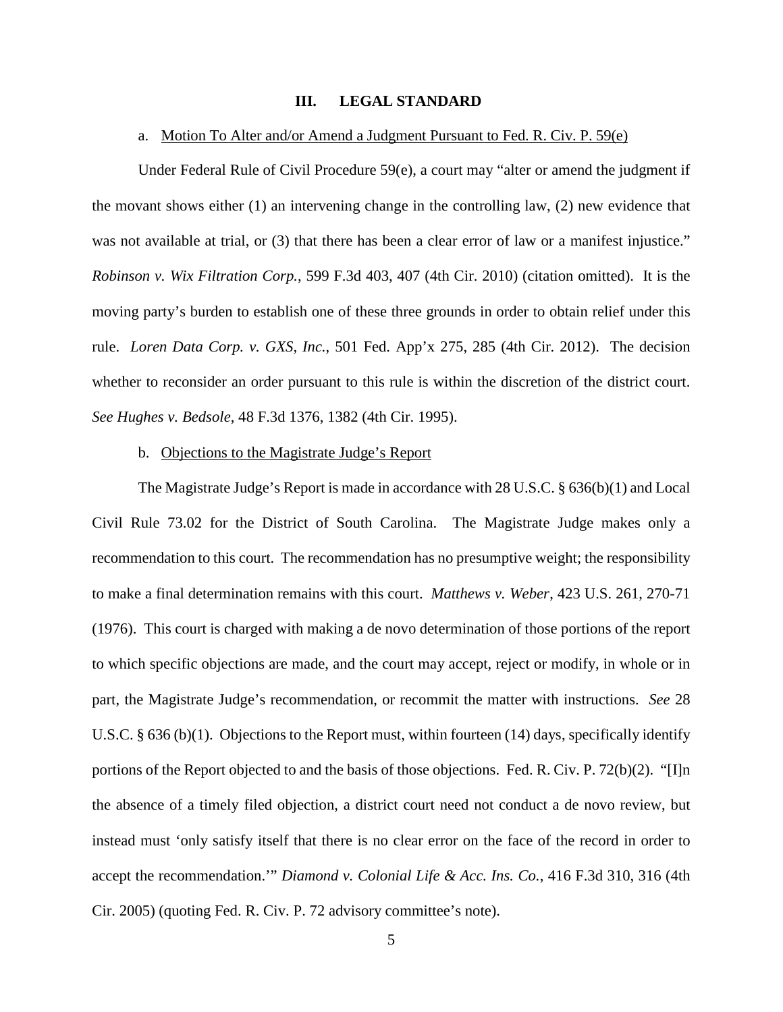#### **III. LEGAL STANDARD**

### a. Motion To Alter and/or Amend a Judgment Pursuant to Fed. R. Civ. P. 59(e)

Under Federal Rule of Civil Procedure 59(e), a court may "alter or amend the judgment if the movant shows either (1) an intervening change in the controlling law, (2) new evidence that was not available at trial, or (3) that there has been a clear error of law or a manifest injustice." *Robinson v. Wix Filtration Corp.*, 599 F.3d 403, 407 (4th Cir. 2010) (citation omitted). It is the moving party's burden to establish one of these three grounds in order to obtain relief under this rule. *Loren Data Corp. v. GXS, Inc.*, 501 Fed. App'x 275, 285 (4th Cir. 2012). The decision whether to reconsider an order pursuant to this rule is within the discretion of the district court. *See Hughes v. Bedsole*, 48 F.3d 1376, 1382 (4th Cir. 1995).

#### b. Objections to the Magistrate Judge's Report

The Magistrate Judge's Report is made in accordance with 28 U.S.C. § 636(b)(1) and Local Civil Rule 73.02 for the District of South Carolina. The Magistrate Judge makes only a recommendation to this court. The recommendation has no presumptive weight; the responsibility to make a final determination remains with this court. *Matthews v. Weber*, 423 U.S. 261, 270-71 (1976). This court is charged with making a de novo determination of those portions of the report to which specific objections are made, and the court may accept, reject or modify, in whole or in part, the Magistrate Judge's recommendation, or recommit the matter with instructions. *See* 28 U.S.C. § 636 (b)(1). Objections to the Report must, within fourteen (14) days, specifically identify portions of the Report objected to and the basis of those objections. Fed. R. Civ. P. 72(b)(2). "[I]n the absence of a timely filed objection, a district court need not conduct a de novo review, but instead must 'only satisfy itself that there is no clear error on the face of the record in order to accept the recommendation.'" *Diamond v. Colonial Life & Acc. Ins. Co.*, 416 F.3d 310, 316 (4th Cir. 2005) (quoting Fed. R. Civ. P. 72 advisory committee's note).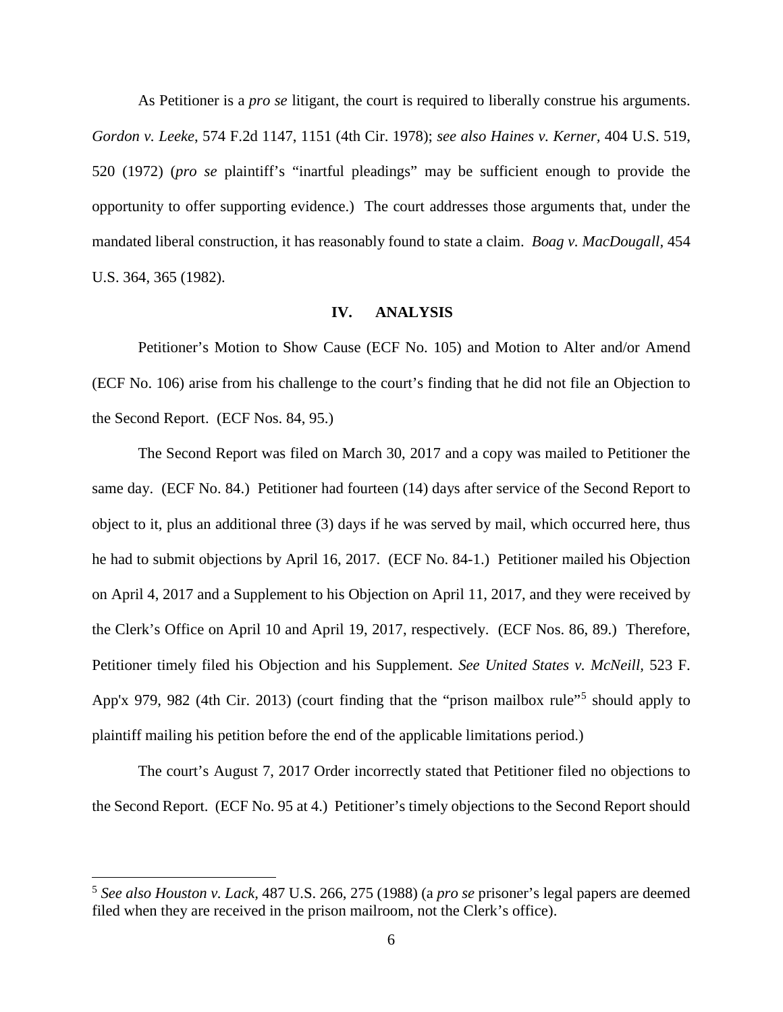As Petitioner is a *pro se* litigant, the court is required to liberally construe his arguments. *Gordon v. Leeke*, 574 F.2d 1147, 1151 (4th Cir. 1978); *see also Haines v. Kerner,* 404 U.S. 519, 520 (1972) (*pro se* plaintiff's "inartful pleadings" may be sufficient enough to provide the opportunity to offer supporting evidence.) The court addresses those arguments that, under the mandated liberal construction, it has reasonably found to state a claim. *Boag v. MacDougall,* 454 U.S. 364, 365 (1982).

### **IV. ANALYSIS**

Petitioner's Motion to Show Cause (ECF No. 105) and Motion to Alter and/or Amend (ECF No. 106) arise from his challenge to the court's finding that he did not file an Objection to the Second Report. (ECF Nos. 84, 95.)

The Second Report was filed on March 30, 2017 and a copy was mailed to Petitioner the same day. (ECF No. 84.) Petitioner had fourteen (14) days after service of the Second Report to object to it, plus an additional three (3) days if he was served by mail, which occurred here, thus he had to submit objections by April 16, 2017. (ECF No. 84-1.) Petitioner mailed his Objection on April 4, 2017 and a Supplement to his Objection on April 11, 2017, and they were received by the Clerk's Office on April 10 and April 19, 2017, respectively. (ECF Nos. 86, 89.) Therefore, Petitioner timely filed his Objection and his Supplement. *See United States v. McNeill,* 523 F. App'x 979, 982 (4th Cir. 2013) (court finding that the "prison mailbox rule"<sup>[5](#page-5-0)</sup> should apply to plaintiff mailing his petition before the end of the applicable limitations period.)

The court's August 7, 2017 Order incorrectly stated that Petitioner filed no objections to the Second Report. (ECF No. 95 at 4.) Petitioner's timely objections to the Second Report should

 $\overline{a}$ 

<span id="page-5-0"></span><sup>5</sup> *See also Houston v. Lack,* 487 U.S. 266, 275 (1988) (a *pro se* prisoner's legal papers are deemed filed when they are received in the prison mailroom, not the Clerk's office).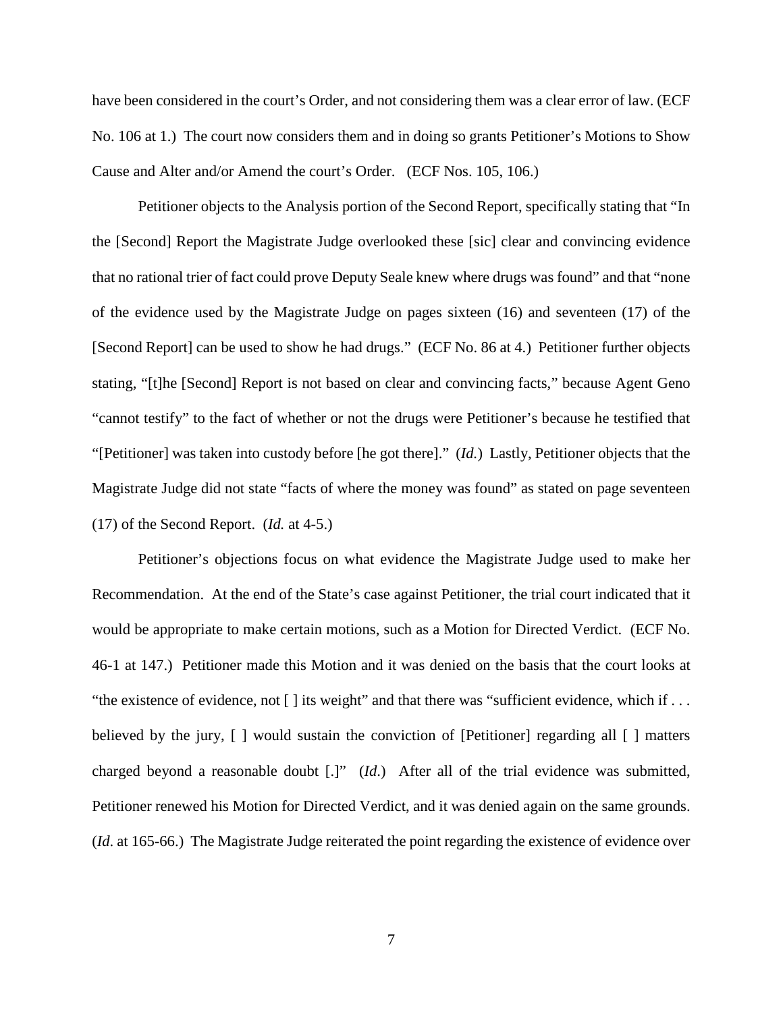have been considered in the court's Order, and not considering them was a clear error of law. (ECF No. 106 at 1.) The court now considers them and in doing so grants Petitioner's Motions to Show Cause and Alter and/or Amend the court's Order. (ECF Nos. 105, 106.)

Petitioner objects to the Analysis portion of the Second Report, specifically stating that "In the [Second] Report the Magistrate Judge overlooked these [sic] clear and convincing evidence that no rational trier of fact could prove Deputy Seale knew where drugs was found" and that "none of the evidence used by the Magistrate Judge on pages sixteen (16) and seventeen (17) of the [Second Report] can be used to show he had drugs." (ECF No. 86 at 4.) Petitioner further objects stating, "[t]he [Second] Report is not based on clear and convincing facts," because Agent Geno "cannot testify" to the fact of whether or not the drugs were Petitioner's because he testified that "[Petitioner] was taken into custody before [he got there]." (*Id.*) Lastly, Petitioner objects that the Magistrate Judge did not state "facts of where the money was found" as stated on page seventeen (17) of the Second Report. (*Id.* at 4-5.)

Petitioner's objections focus on what evidence the Magistrate Judge used to make her Recommendation. At the end of the State's case against Petitioner, the trial court indicated that it would be appropriate to make certain motions, such as a Motion for Directed Verdict. (ECF No. 46-1 at 147.) Petitioner made this Motion and it was denied on the basis that the court looks at "the existence of evidence, not [ ] its weight" and that there was "sufficient evidence, which if . . . believed by the jury, [ ] would sustain the conviction of [Petitioner] regarding all [ ] matters charged beyond a reasonable doubt [.]" (*Id*.) After all of the trial evidence was submitted, Petitioner renewed his Motion for Directed Verdict, and it was denied again on the same grounds. (*Id*. at 165-66.) The Magistrate Judge reiterated the point regarding the existence of evidence over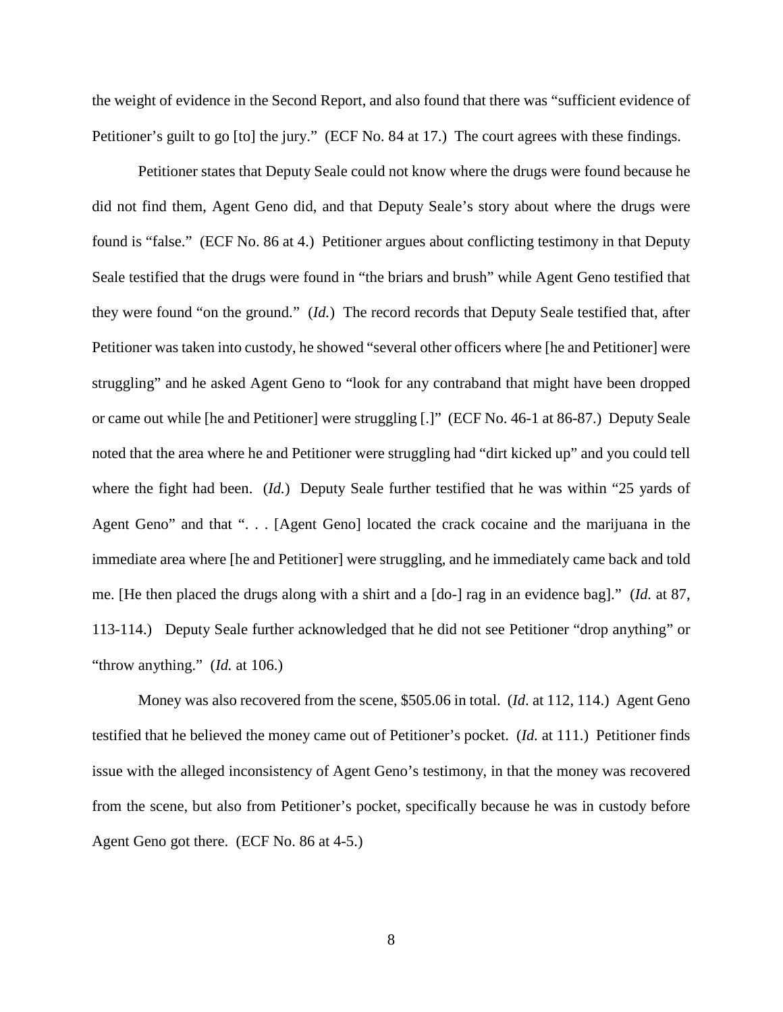the weight of evidence in the Second Report, and also found that there was "sufficient evidence of Petitioner's guilt to go [to] the jury." (ECF No. 84 at 17.) The court agrees with these findings.

Petitioner states that Deputy Seale could not know where the drugs were found because he did not find them, Agent Geno did, and that Deputy Seale's story about where the drugs were found is "false." (ECF No. 86 at 4.) Petitioner argues about conflicting testimony in that Deputy Seale testified that the drugs were found in "the briars and brush" while Agent Geno testified that they were found "on the ground." (*Id.*) The record records that Deputy Seale testified that, after Petitioner was taken into custody, he showed "several other officers where [he and Petitioner] were struggling" and he asked Agent Geno to "look for any contraband that might have been dropped or came out while [he and Petitioner] were struggling [.]" (ECF No. 46-1 at 86-87.) Deputy Seale noted that the area where he and Petitioner were struggling had "dirt kicked up" and you could tell where the fight had been. (*Id.*) Deputy Seale further testified that he was within "25 yards of Agent Geno" and that ". . . [Agent Geno] located the crack cocaine and the marijuana in the immediate area where [he and Petitioner] were struggling, and he immediately came back and told me. [He then placed the drugs along with a shirt and a [do-] rag in an evidence bag]." (*Id.* at 87, 113-114.) Deputy Seale further acknowledged that he did not see Petitioner "drop anything" or "throw anything." (*Id.* at 106.)

Money was also recovered from the scene, \$505.06 in total. (*Id*. at 112, 114.) Agent Geno testified that he believed the money came out of Petitioner's pocket. (*Id.* at 111.) Petitioner finds issue with the alleged inconsistency of Agent Geno's testimony, in that the money was recovered from the scene, but also from Petitioner's pocket, specifically because he was in custody before Agent Geno got there. (ECF No. 86 at 4-5.)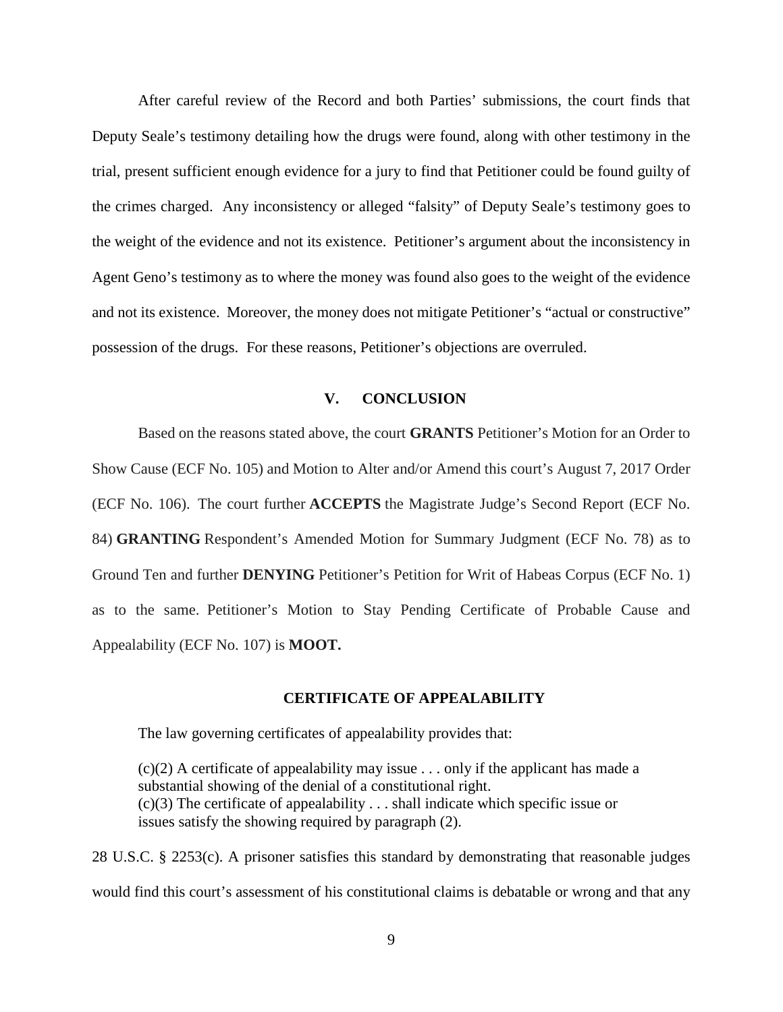After careful review of the Record and both Parties' submissions, the court finds that Deputy Seale's testimony detailing how the drugs were found, along with other testimony in the trial, present sufficient enough evidence for a jury to find that Petitioner could be found guilty of the crimes charged. Any inconsistency or alleged "falsity" of Deputy Seale's testimony goes to the weight of the evidence and not its existence. Petitioner's argument about the inconsistency in Agent Geno's testimony as to where the money was found also goes to the weight of the evidence and not its existence. Moreover, the money does not mitigate Petitioner's "actual or constructive" possession of the drugs. For these reasons, Petitioner's objections are overruled.

## **V. CONCLUSION**

Based on the reasons stated above, the court **GRANTS** Petitioner's Motion for an Order to Show Cause (ECF No. 105) and Motion to Alter and/or Amend this court's August 7, 2017 Order (ECF No. 106). The court further **ACCEPTS** the Magistrate Judge's Second Report (ECF No. 84) **GRANTING** Respondent's Amended Motion for Summary Judgment (ECF No. 78) as to Ground Ten and further **DENYING** Petitioner's Petition for Writ of Habeas Corpus (ECF No. 1) as to the same. Petitioner's Motion to Stay Pending Certificate of Probable Cause and Appealability (ECF No. 107) is **MOOT.**

### **CERTIFICATE OF APPEALABILITY**

The law governing certificates of appealability provides that:

 $(c)(2)$  A certificate of appealability may issue . . . only if the applicant has made a substantial showing of the denial of a constitutional right.  $(c)(3)$  The certificate of appealability . . . shall indicate which specific issue or issues satisfy the showing required by paragraph (2).

28 U.S.C. § 2253(c). A prisoner satisfies this standard by demonstrating that reasonable judges would find this court's assessment of his constitutional claims is debatable or wrong and that any